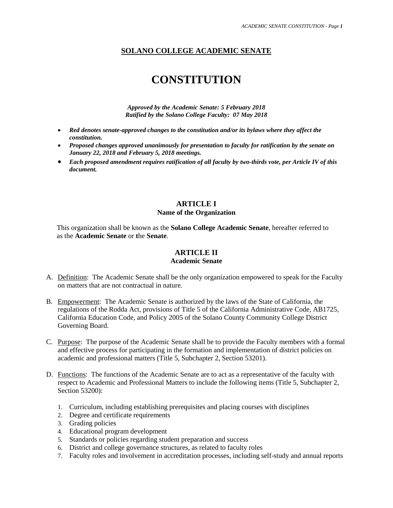# **SOLANO COLLEGE ACADEMIC SENATE**

# **CONSTITUTION**

*Approved by the Academic Senate: 5 February 2018 Ratified by the Solano College Faculty: 07 May 2018*

- *Red denotes senate-approved changes to the constitution and/or its bylaws where they affect the constitution.*
- *Proposed changes approved unanimously for presentation to faculty for ratification by the senate on January 22, 2018 and February 5, 2018 meetings.*
- *Each proposed amendment requires ratification of all faculty by two-thirds vote, per Article IV of this document.*

## **ARTICLE I**

#### **Name of the Organization**

 This organization shall be known as the **Solano College Academic Senate**, hereafter referred to as the **Academic Senate** or **t**he **Senate**.

## **ARTICLE II**

#### **Academic Senate**

- A. Definition: The Academic Senate shall be the only organization empowered to speak for the Faculty on matters that are not contractual in nature.
- B. Empowerment: The Academic Senate is authorized by the laws of the State of California, the regulations of the Rodda Act, provisions of Title 5 of the California Administrative Code, AB1725, California Education Code, and Policy 2005 of the Solano County Community College District Governing Board.
- C. Purpose: The purpose of the Academic Senate shall be to provide the Faculty members with a formal and effective process for participating in the formation and implementation of district policies on academic and professional matters (Title 5, Subchapter 2, Section 53201).
- D. Functions: The functions of the Academic Senate are to act as a representative of the faculty with respect to Academic and Professional Matters to include the following items (Title 5, Subchapter 2, Section 53200):
	- 1. Curriculum, including establishing prerequisites and placing courses with disciplines
	- 2. Degree and certificate requirements
	- 3. Grading policies
	- 4. Educational program development
	- 5. Standards or policies regarding student preparation and success
	- 6. District and college governance structures, as related to faculty roles
	- 7. Faculty roles and involvement in accreditation processes, including self-study and annual reports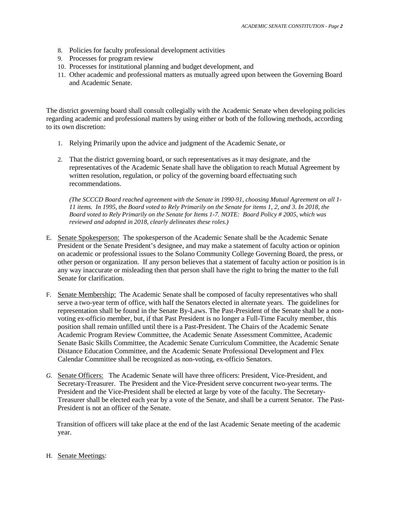- 8. Policies for faculty professional development activities
- 9. Processes for program review
- 10. Processes for institutional planning and budget development, and
- 11. Other academic and professional matters as mutually agreed upon between the Governing Board and Academic Senate.

The district governing board shall consult collegially with the Academic Senate when developing policies regarding academic and professional matters by using either or both of the following methods, according to its own discretion:

- 1. Relying Primarily upon the advice and judgment of the Academic Senate, or
- 2. That the district governing board, or such representatives as it may designate, and the representatives of the Academic Senate shall have the obligation to reach Mutual Agreement by written resolution, regulation, or policy of the governing board effectuating such recommendations.

*(The SCCCD Board reached agreement with the Senate in 1990-91, choosing Mutual Agreement on all 1- 11 items. In 1995, the Board voted to Rely Primarily on the Senate for items 1, 2, and 3. In 2018, the Board voted to Rely Primarily on the Senate for Items 1-7. NOTE: Board Policy # 2005, which was reviewed and adopted in 2018, clearly delineates these roles.)*

- E. Senate Spokesperson: The spokesperson of the Academic Senate shall be the Academic Senate President or the Senate President's designee, and may make a statement of faculty action or opinion on academic or professional issues to the Solano Community College Governing Board, the press, or other person or organization. If any person believes that a statement of faculty action or position is in any way inaccurate or misleading then that person shall have the right to bring the matter to the full Senate for clarification.
- F. Senate Membership: The Academic Senate shall be composed of faculty representatives who shall serve a two-year term of office, with half the Senators elected in alternate years. The guidelines for representation shall be found in the Senate By-Laws. The Past-President of the Senate shall be a nonvoting ex-officio member, but, if that Past President is no longer a Full-Time Faculty member, this position shall remain unfilled until there is a Past-President. The Chairs of the Academic Senate Academic Program Review Committee, the Academic Senate Assessment Committee, Academic Senate Basic Skills Committee, the Academic Senate Curriculum Committee, the Academic Senate Distance Education Committee, and the Academic Senate Professional Development and Flex Calendar Committee shall be recognized as non-voting, ex-officio Senators.
- *G.* Senate Officers: The Academic Senate will have three officers: President, Vice-President, and Secretary-Treasurer. The President and the Vice-President serve concurrent two-year terms. The President and the Vice-President shall be elected at large by vote of the faculty. The Secretary-Treasurer shall be elected each year by a vote of the Senate, and shall be a current Senator. The Past-President is not an officer of the Senate.

 Transition of officers will take place at the end of the last Academic Senate meeting of the academic year.

H. Senate Meetings: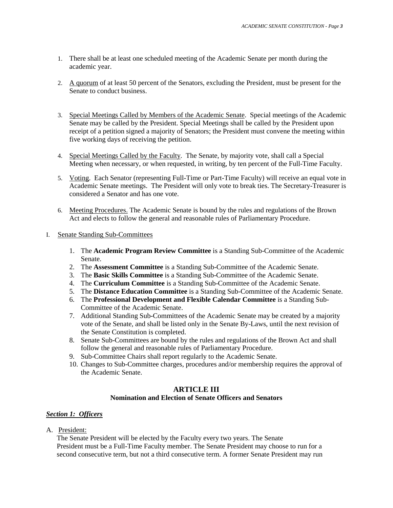- 1. There shall be at least one scheduled meeting of the Academic Senate per month during the academic year.
- 2. A quorum of at least 50 percent of the Senators, excluding the President, must be present for the Senate to conduct business.
- 3. Special Meetings Called by Members of the Academic Senate. Special meetings of the Academic Senate may be called by the President. Special Meetings shall be called by the President upon receipt of a petition signed a majority of Senators; the President must convene the meeting within five working days of receiving the petition.
- 4. Special Meetings Called by the Faculty. The Senate, by majority vote, shall call a Special Meeting when necessary, or when requested, in writing, by ten percent of the Full-Time Faculty.
- 5. Voting. Each Senator (representing Full-Time or Part-Time Faculty) will receive an equal vote in Academic Senate meetings. The President will only vote to break ties. The Secretary-Treasurer is considered a Senator and has one vote.
- 6. Meeting Procedures. The Academic Senate is bound by the rules and regulations of the Brown Act and elects to follow the general and reasonable rules of Parliamentary Procedure.
- I. Senate Standing Sub-Committees
	- 1. The **Academic Program Review Committee** is a Standing Sub-Committee of the Academic Senate.
	- 2. The **Assessment Committee** is a Standing Sub-Committee of the Academic Senate.
	- 3. The **Basic Skills Committee** is a Standing Sub-Committee of the Academic Senate.
	- 4. The **Curriculum Committee** is a Standing Sub-Committee of the Academic Senate.
	- 5. The **Distance Education Committee** is a Standing Sub-Committee of the Academic Senate.
	- 6. The **Professional Development and Flexible Calendar Committee** is a Standing Sub-Committee of the Academic Senate.
	- 7. Additional Standing Sub-Committees of the Academic Senate may be created by a majority vote of the Senate, and shall be listed only in the Senate By-Laws, until the next revision of the Senate Constitution is completed.
	- 8. Senate Sub-Committees are bound by the rules and regulations of the Brown Act and shall follow the general and reasonable rules of Parliamentary Procedure.
	- 9. Sub-Committee Chairs shall report regularly to the Academic Senate.
	- 10. Changes to Sub-Committee charges, procedures and/or membership requires the approval of the Academic Senate.

## **ARTICLE III**

#### **Nomination and Election of Senate Officers and Senators**

# *Section 1: Officers*

A. President:

 The Senate President will be elected by the Faculty every two years. The Senate President must be a Full-Time Faculty member. The Senate President may choose to run for a second consecutive term, but not a third consecutive term. A former Senate President may run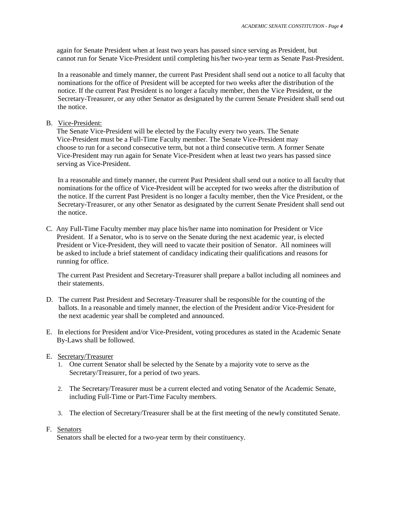again for Senate President when at least two years has passed since serving as President, but cannot run for Senate Vice-President until completing his/her two-year term as Senate Past-President.

In a reasonable and timely manner, the current Past President shall send out a notice to all faculty that nominations for the office of President will be accepted for two weeks after the distribution of the notice. If the current Past President is no longer a faculty member, then the Vice President, or the Secretary-Treasurer, or any other Senator as designated by the current Senate President shall send out the notice.

#### B. Vice-President:

 The Senate Vice-President will be elected by the Faculty every two years. The Senate Vice-President must be a Full-Time Faculty member. The Senate Vice-President may choose to run for a second consecutive term, but not a third consecutive term. A former Senate Vice-President may run again for Senate Vice-President when at least two years has passed since serving as Vice-President.

In a reasonable and timely manner, the current Past President shall send out a notice to all faculty that nominations for the office of Vice-President will be accepted for two weeks after the distribution of the notice. If the current Past President is no longer a faculty member, then the Vice President, or the Secretary-Treasurer, or any other Senator as designated by the current Senate President shall send out the notice.

C. Any Full-Time Faculty member may place his/her name into nomination for President or Vice President. If a Senator, who is to serve on the Senate during the next academic year, is elected President or Vice-President, they will need to vacate their position of Senator. All nominees will be asked to include a brief statement of candidacy indicating their qualifications and reasons for running for office.

The current Past President and Secretary-Treasurer shall prepare a ballot including all nominees and their statements.

- D. The current Past President and Secretary-Treasurer shall be responsible for the counting of the ballots. In a reasonable and timely manner, the election of the President and/or Vice-President for the next academic year shall be completed and announced.
- E. In elections for President and/or Vice-President, voting procedures as stated in the Academic Senate By-Laws shall be followed.
- E. Secretary/Treasurer
	- 1. One current Senator shall be selected by the Senate by a majority vote to serve as the Secretary/Treasurer, for a period of two years.
	- 2. The Secretary/Treasurer must be a current elected and voting Senator of the Academic Senate, including Full-Time or Part-Time Faculty members.
	- 3. The election of Secretary/Treasurer shall be at the first meeting of the newly constituted Senate.

#### F. Senators

Senators shall be elected for a two-year term by their constituency.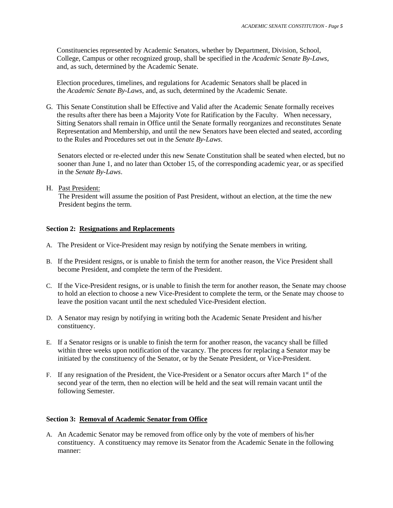Constituencies represented by Academic Senators, whether by Department, Division, School, College, Campus or other recognized group, shall be specified in the *Academic Senate By-Laws*, and, as such, determined by the Academic Senate.

 Election procedures, timelines, and regulations for Academic Senators shall be placed in the *Academic Senate By-Laws*, and, as such, determined by the Academic Senate.

G*.* This Senate Constitution shall be Effective and Valid after the Academic Senate formally receives the results after there has been a Majority Vote for Ratification by the Faculty. When necessary, Sitting Senators shall remain in Office until the Senate formally reorganizes and reconstitutes Senate Representation and Membership, and until the new Senators have been elected and seated, according to the Rules and Procedures set out in the *Senate By-Laws*.

Senators elected or re-elected under this new Senate Constitution shall be seated when elected, but no sooner than June 1, and no later than October 15, of the corresponding academic year, or as specified in the *Senate By-Laws*.

#### H. Past President:

 The President will assume the position of Past President, without an election, at the time the new President begins the term.

## **Section 2: Resignations and Replacements**

- A. The President or Vice-President may resign by notifying the Senate members in writing.
- B. If the President resigns, or is unable to finish the term for another reason, the Vice President shall become President, and complete the term of the President.
- C. If the Vice-President resigns, or is unable to finish the term for another reason, the Senate may choose to hold an election to choose a new Vice-President to complete the term, or the Senate may choose to leave the position vacant until the next scheduled Vice-President election.
- D. A Senator may resign by notifying in writing both the Academic Senate President and his/her constituency.
- E. If a Senator resigns or is unable to finish the term for another reason, the vacancy shall be filled within three weeks upon notification of the vacancy. The process for replacing a Senator may be initiated by the constituency of the Senator, or by the Senate President, or Vice-President.
- F. If any resignation of the President, the Vice-President or a Senator occurs after March  $1<sup>st</sup>$  of the second year of the term, then no election will be held and the seat will remain vacant until the following Semester.

#### **Section 3: Removal of Academic Senator from Office**

A. An Academic Senator may be removed from office only by the vote of members of his/her constituency. A constituency may remove its Senator from the Academic Senate in the following manner: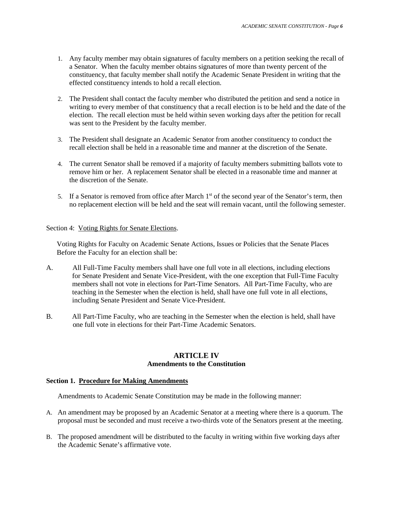- 1. Any faculty member may obtain signatures of faculty members on a petition seeking the recall of a Senator. When the faculty member obtains signatures of more than twenty percent of the constituency, that faculty member shall notify the Academic Senate President in writing that the effected constituency intends to hold a recall election.
- 2. The President shall contact the faculty member who distributed the petition and send a notice in writing to every member of that constituency that a recall election is to be held and the date of the election. The recall election must be held within seven working days after the petition for recall was sent to the President by the faculty member.
- 3. The President shall designate an Academic Senator from another constituency to conduct the recall election shall be held in a reasonable time and manner at the discretion of the Senate.
- 4. The current Senator shall be removed if a majority of faculty members submitting ballots vote to remove him or her. A replacement Senator shall be elected in a reasonable time and manner at the discretion of the Senate.
- 5. If a Senator is removed from office after March  $1<sup>st</sup>$  of the second year of the Senator's term, then no replacement election will be held and the seat will remain vacant, until the following semester.

#### Section 4: Voting Rights for Senate Elections.

 Voting Rights for Faculty on Academic Senate Actions, Issues or Policies that the Senate Places Before the Faculty for an election shall be:

- A. All Full-Time Faculty members shall have one full vote in all elections, including elections for Senate President and Senate Vice-President, with the one exception that Full-Time Faculty members shall not vote in elections for Part-Time Senators. All Part-Time Faculty, who are teaching in the Semester when the election is held, shall have one full vote in all elections, including Senate President and Senate Vice-President.
- B. All Part-Time Faculty, who are teaching in the Semester when the election is held, shall have one full vote in elections for their Part-Time Academic Senators.

#### **ARTICLE IV Amendments to the Constitution**

#### **Section 1. Procedure for Making Amendments**

Amendments to Academic Senate Constitution may be made in the following manner:

- A. An amendment may be proposed by an Academic Senator at a meeting where there is a quorum. The proposal must be seconded and must receive a two-thirds vote of the Senators present at the meeting.
- B. The proposed amendment will be distributed to the faculty in writing within five working days after the Academic Senate's affirmative vote.